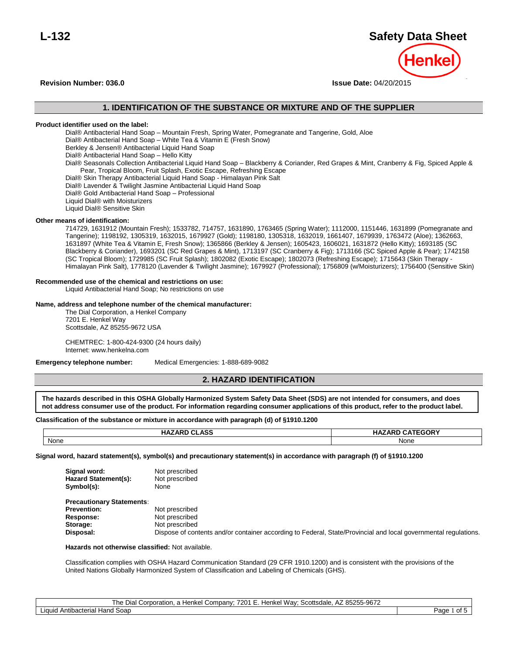# **L-132 Safety Data Sheet**

**Revision Number: 036.0 Issue Date:** 04/20/2015

# **1. IDENTIFICATION OF THE SUBSTANCE OR MIXTURE AND OF THE SUPPLIER**

# **Product identifier used on the label:**

Dial® Antibacterial Hand Soap – Mountain Fresh, Spring Water, Pomegranate and Tangerine, Gold, Aloe Dial® Antibacterial Hand Soap – White Tea & Vitamin E (Fresh Snow) Berkley & Jensen® Antibacterial Liquid Hand Soap Dial® Antibacterial Hand Soap – Hello Kitty Dial® Seasonals Collection Antibacterial Liquid Hand Soap – Blackberry & Coriander, Red Grapes & Mint, Cranberry & Fig, Spiced Apple & Pear, Tropical Bloom, Fruit Splash, Exotic Escape, Refreshing Escape Dial® Skin Therapy Antibacterial Liquid Hand Soap - Himalayan Pink Salt Dial® Lavender & Twilight Jasmine Antibacterial Liquid Hand Soap Dial® Gold Antibacterial Hand Soap – Professional Liquid Dial® with Moisturizers Liquid Dial® Sensitive Skin

#### **Other means of identification:**

714729, 1631912 (Mountain Fresh); 1533782, 714757, 1631890, 1763465 (Spring Water); 1112000, 1151446, 1631899 (Pomegranate and Tangerine); 1198192, 1305319, 1632015, 1679927 (Gold); 1198180, 1305318, 1632019, 1661407, 1679939, 1763472 (Aloe); 1362663, 1631897 (White Tea & Vitamin E, Fresh Snow); 1365866 (Berkley & Jensen); 1605423, 1606021, 1631872 (Hello Kitty); 1693185 (SC Blackberry & Coriander), 1693201 (SC Red Grapes & Mint), 1713197 (SC Cranberry & Fig); 1713166 (SC Spiced Apple & Pear); 1742158 (SC Tropical Bloom); 1729985 (SC Fruit Splash); 1802082 (Exotic Escape); 1802073 (Refreshing Escape); 1715643 (Skin Therapy - Himalayan Pink Salt), 1778120 (Lavender & Twilight Jasmine); 1679927 (Professional); 1756809 (w/Moisturizers); 1756400 (Sensitive Skin)

#### **Recommended use of the chemical and restrictions on use:**

Liquid Antibacterial Hand Soap; No restrictions on use

#### **Name, address and telephone number of the chemical manufacturer:**

The Dial Corporation, a Henkel Company 7201 E. Henkel Way Scottsdale, AZ 85255-9672 USA

CHEMTREC: 1-800-424-9300 (24 hours daily) Internet: www.henkelna.com

**Emergency telephone number:** Medical Emergencies: 1-888-689-9082

# **2. HAZARD IDENTIFICATION**

**The hazards described in this OSHA Globally Harmonized System Safety Data Sheet (SDS) are not intended for consumers, and does not address consumer use of the product. For information regarding consumer applications of this product, refer to the product label.** 

#### Classification of the substance or mixture in accordance with paragraph (d) of §1910.1200 **described in this OSHA Globally Harmonized System Safety Data Sheet (SDS) are not intended for consumers, and does not address**

| <b>HAZARD CLASS</b> | <b>HAZARD CATEGORY</b> |
|---------------------|------------------------|
| None                | <b>None</b>            |

**Signal word, hazard statement(s), symbol(s) and precautionary statement(s) in accordance with paragraph (f) of §1910.1200**

| Signal word:         | Not prescribed |
|----------------------|----------------|
| Hazard Statement(s): | Not prescribed |
| Symbol(s):           | None           |

| <b>Precautionary Statements:</b> |                                                                                                                 |
|----------------------------------|-----------------------------------------------------------------------------------------------------------------|
| <b>Prevention:</b>               | Not prescribed                                                                                                  |
| <b>Response:</b>                 | Not prescribed                                                                                                  |
| Storage:                         | Not prescribed                                                                                                  |
| Disposal:                        | Dispose of contents and/or container according to Federal, State/Provincial and local governmental regulations. |

#### **Hazards not otherwise classified:** Not available.

Classification complies with OSHA Hazard Communication Standard (29 CFR 1910.1200) and is consistent with the provisions of the United Nations Globally Harmonized System of Classification and Labeling of Chemicals (GHS).

| The Dial Corporation, a Henkel Company; 7201 E. Henkel Way; Scottsdale, AZ 85255-9672 |              |
|---------------------------------------------------------------------------------------|--------------|
| Liquid Antibacterial Hand Soap                                                        | of 5<br>Page |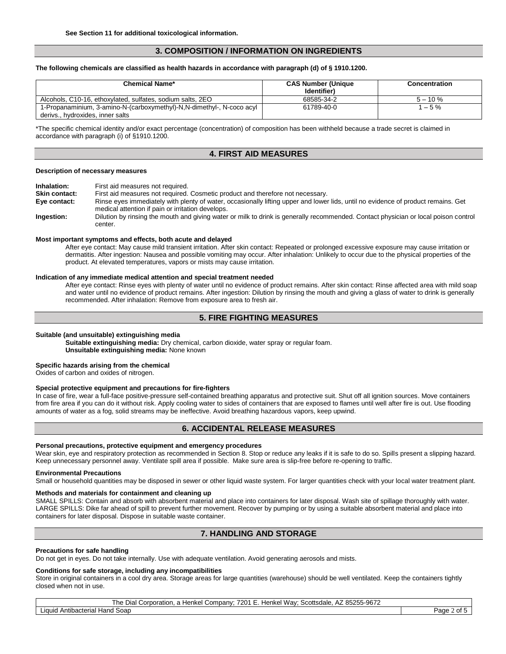# **3. COMPOSITION / INFORMATION ON INGREDIENTS**

#### **The following chemicals are classified as health hazards in accordance with paragraph (d) of § 1910.1200.**

| <b>Chemical Name*</b>                                                                                     | <b>CAS Number (Unique</b><br>Identifier) | <b>Concentration</b> |
|-----------------------------------------------------------------------------------------------------------|------------------------------------------|----------------------|
| Alcohols, C10-16, ethoxylated, sulfates, sodium salts, 2EO                                                | 68585-34-2                               | $5 - 10 \%$          |
| 1-Propanaminium, 3-amino-N-(carboxymethyl)-N,N-dimethyl-, N-coco acyl<br>derivs., hydroxides, inner salts | 61789-40-0                               | $1 - 5 \%$           |

\*The specific chemical identity and/or exact percentage (concentration) of composition has been withheld because a trade secret is claimed in accordance with paragraph (i) of §1910.1200.

# **4. FIRST AID MEASURES**

#### **Description of necessary measures**

**Inhalation:** First aid measures not required.

**Skin contact:** First aid measures not required. Cosmetic product and therefore not necessary.

**Eye contact:** Rinse eyes immediately with plenty of water, occasionally lifting upper and lower lids, until no evidence of product remains. Get medical attention if pain or irritation develops.

**Ingestion:** Dilution by rinsing the mouth and giving water or milk to drink is generally recommended. Contact physician or local poison control center.

#### **Most important symptoms and effects, both acute and delayed**

After eye contact: May cause mild transient irritation. After skin contact: Repeated or prolonged excessive exposure may cause irritation or dermatitis. After ingestion: Nausea and possible vomiting may occur. After inhalation: Unlikely to occur due to the physical properties of the product. At elevated temperatures, vapors or mists may cause irritation.

#### **Indication of any immediate medical attention and special treatment needed**

After eye contact: Rinse eyes with plenty of water until no evidence of product remains. After skin contact: Rinse affected area with mild soap and water until no evidence of product remains. After ingestion: Dilution by rinsing the mouth and giving a glass of water to drink is generally recommended. After inhalation: Remove from exposure area to fresh air.

# **5. FIRE FIGHTING MEASURES**

#### **Suitable (and unsuitable) extinguishing media**

**Suitable extinguishing media:** Dry chemical, carbon dioxide, water spray or regular foam. **Unsuitable extinguishing media:** None known

#### **Specific hazards arising from the chemical**

Oxides of carbon and oxides of nitrogen.

#### **Special protective equipment and precautions for fire-fighters**

In case of fire, wear a full-face positive-pressure self-contained breathing apparatus and protective suit. Shut off all ignition sources. Move containers from fire area if you can do it without risk. Apply cooling water to sides of containers that are exposed to flames until well after fire is out. Use flooding amounts of water as a fog, solid streams may be ineffective. Avoid breathing hazardous vapors, keep upwind.

# **6. ACCIDENTAL RELEASE MEASURES**

#### **Personal precautions, protective equipment and emergency procedures**

Wear skin, eye and respiratory protection as recommended in Section 8. Stop or reduce any leaks if it is safe to do so. Spills present a slipping hazard. Keep unnecessary personnel away. Ventilate spill area if possible. Make sure area is slip-free before re-opening to traffic.

#### **Environmental Precautions**

Small or household quantities may be disposed in sewer or other liquid waste system. For larger quantities check with your local water treatment plant.

#### **Methods and materials for containment and cleaning up**

SMALL SPILLS: Contain and absorb with absorbent material and place into containers for later disposal. Wash site of spillage thoroughly with water. LARGE SPILLS: Dike far ahead of spill to prevent further movement. Recover by pumping or by using a suitable absorbent material and place into containers for later disposal. Dispose in suitable waste container.

# **7. HANDLING AND STORAGE**

#### **Precautions for safe handling**

Do not get in eyes. Do not take internally. Use with adequate ventilation. Avoid generating aerosols and mists.

#### **Conditions for safe storage, including any incompatibilities**

Store in original containers in a cool dry area. Storage areas for large quantities (warehouse) should be well ventilated. Keep the containers tightly closed when not in use.

The Dial Corporation, a Henkel Company; 7201 E. Henkel Way; Scottsdale, AZ 85255-9672

Liquid Antibacterial Hand Soap Page 2 of 5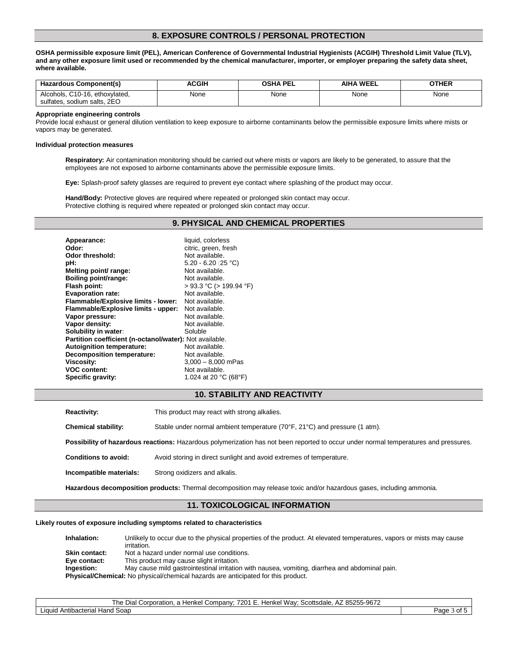# **8. EXPOSURE CONTROLS / PERSONAL PROTECTION**

**OSHA permissible exposure limit (PEL), American Conference of Governmental Industrial Hygienists (ACGIH) Threshold Limit Value (TLV), and any other exposure limit used or recommended by the chemical manufacturer, importer, or employer preparing the safety data sheet, where available.**

| Hazardous Component(s)                                                | ACGIH | <b>OSHA PEL</b> | AIHA WEEL | OTHER |
|-----------------------------------------------------------------------|-------|-----------------|-----------|-------|
| C10-16, ethoxylated.<br>Alcohols.<br>. sodium salts. 2EO<br>sultates. | None  | None            | None      | None  |

#### **Appropriate engineering controls**

Provide local exhaust or general dilution ventilation to keep exposure to airborne contaminants below the permissible exposure limits where mists or vapors may be generated.

#### **Individual protection measures**

**Respiratory:** Air contamination monitoring should be carried out where mists or vapors are likely to be generated, to assure that the employees are not exposed to airborne contaminants above the permissible exposure limits.

**Eye:** Splash-proof safety glasses are required to prevent eye contact where splashing of the product may occur.

**Hand/Body:** Protective gloves are required where repeated or prolonged skin contact may occur. Protective clothing is required where repeated or prolonged skin contact may occur.

### **9. PHYSICAL AND CHEMICAL PROPERTIES**

| Appearance:                                             | liquid, colorless            |
|---------------------------------------------------------|------------------------------|
| Odor:                                                   | citric, green, fresh         |
| Odor threshold:                                         | Not available.               |
| pH:                                                     | 5.20 - 6.20 (25 °C)          |
| Melting point/ range:                                   | Not available.               |
| Boiling point/range:                                    | Not available.               |
| Flash point:                                            | $> 93.3$ °C ( $> 199.94$ °F) |
| <b>Evaporation rate:</b>                                | Not available.               |
| Flammable/Explosive limits - lower:                     | Not available.               |
| Flammable/Explosive limits - upper:                     | Not available.               |
| Vapor pressure:                                         | Not available.               |
| Vapor density:                                          | Not available.               |
| Solubility in water:                                    | Soluble                      |
| Partition coefficient (n-octanol/water): Not available. |                              |
| Autoignition temperature:                               | Not available.               |
| <b>Decomposition temperature:</b>                       | Not available.               |
| <b>Viscosity:</b>                                       | $3,000 - 8,000$ mPas         |
| <b>VOC content:</b>                                     | Not available.               |
| Specific gravity:                                       | 1.024 at 20 °C (68°F)        |

#### **10. STABILITY AND REACTIVITY**

**Reactivity:** This product may react with strong alkalies. **Chemical stability:** Stable under normal ambient temperature (70°F, 21°C) and pressure (1 atm).

**Possibility of hazardous reactions:** Hazardous polymerization has not been reported to occur under normal temperatures and pressures.

**Conditions to avoid:** Avoid storing in direct sunlight and avoid extremes of temperature.

**Incompatible materials:** Strong oxidizers and alkalis.

**Hazardous decomposition products:** Thermal decomposition may release toxic and/or hazardous gases, including ammonia.

#### **11. TOXICOLOGICAL INFORMATION**

#### **Likely routes of exposure including symptoms related to characteristics**

**Inhalation:** Unlikely to occur due to the physical properties of the product. At elevated temperatures, vapors or mists may cause irritation. **Skin contact:** Not a hazard under normal use conditions. **Eye contact:** This product may cause slight irritation. **Ingestion:** May cause mild gastrointestinal irritation with nausea, vomiting, diarrhea and abdominal pain. **Physical/Chemical:** No physical/chemical hazards are anticipated for this product.

The Dial Corporation, a Henkel Company; 7201 E. Henkel Way; Scottsdale, AZ 85255-9672

Liquid Antibacterial Hand Soap Page 3 of 5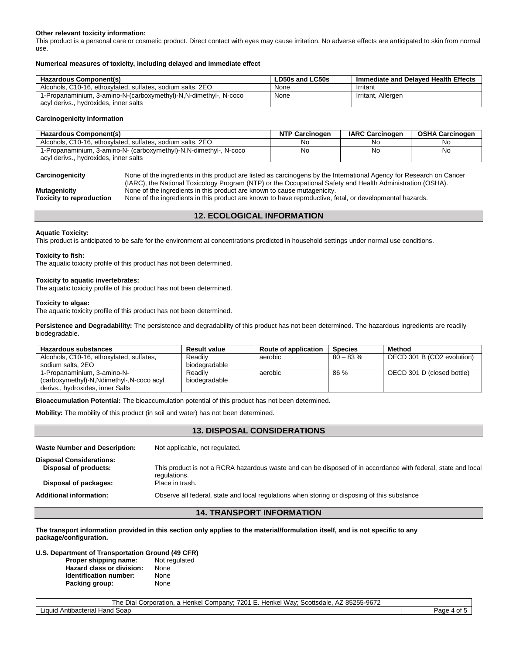#### **Other relevant toxicity information:**

This product is a personal care or cosmetic product. Direct contact with eyes may cause irritation. No adverse effects are anticipated to skin from normal use.

#### **Numerical measures of toxicity, including delayed and immediate effect**

| Hazardous Component(s)                                           | LD50s and LC50s | Immediate and Delaved Health Effects |
|------------------------------------------------------------------|-----------------|--------------------------------------|
| Alcohols, C10-16, ethoxylated, sulfates, sodium salts, 2EO       | None            | Irritant                             |
| 1-Propanaminium, 3-amino-N-(carboxymethyl)-N,N-dimethyl-, N-coco | None            | Irritant, Allergen                   |
| acyl derivs., hydroxides, inner salts                            |                 |                                      |

#### **Carcinogenicity information**

| <b>Hazardous Component(s)</b>                                      | <b>NTP Carcinogen</b> | <b>IARC Carcinogen</b> | <b>OSHA Carcinogen</b> |
|--------------------------------------------------------------------|-----------------------|------------------------|------------------------|
| Alcohols, C10-16, ethoxylated, sulfates, sodium salts, 2EO         | No                    | No                     | Nc                     |
| 1-Propanaminium, 3-amino-N- (carboxymethyl)-N, N-dimethyl-, N-coco | No                    | No                     | .No                    |
| acyl derivs hydroxides. inner salts                                |                       |                        |                        |

**Carcinogenicity** None of the ingredients in this product are listed as carcinogens by the International Agency for Research on Cancer (IARC), the National Toxicology Program (NTP) or the Occupational Safety and Health Administration (OSHA).

**Mutagenicity** None of the ingredients in this product are known to cause mutagenicity. **Toxicity to reproduction** None of the ingredients in this product are known to have reproductive, fetal, or developmental hazards.

# **12. ECOLOGICAL INFORMATION**

#### **Aquatic Toxicity:**

This product is anticipated to be safe for the environment at concentrations predicted in household settings under normal use conditions.

#### **Toxicity to fish:**

The aquatic toxicity profile of this product has not been determined.

#### **Toxicity to aquatic invertebrates:**

The aquatic toxicity profile of this product has not been determined.

#### **Toxicity to algae:**

The aquatic toxicity profile of this product has not been determined.

**Persistence and Degradability:** The persistence and degradability of this product has not been determined. The hazardous ingredients are readily biodegradable.

| Hazardous substances                       | <b>Result value</b> | <b>Route of application</b> | <b>Species</b> | Method                     |
|--------------------------------------------|---------------------|-----------------------------|----------------|----------------------------|
| Alcohols, C10-16, ethoxylated, sulfates,   | Readily             | aerobic                     | $80 - 83 \%$   | OECD 301 B (CO2 evolution) |
| sodium salts, 2EO                          | biodegradable       |                             |                |                            |
| 1-Propanaminium, 3-amino-N-                | Readily             | aerobic                     | 86 %           | OECD 301 D (closed bottle) |
| (carboxymethyl)-N, Ndimethyl-, N-coco acyl | biodegradable       |                             |                |                            |
| derivs., hydroxides, inner Salts           |                     |                             |                |                            |

**Bioaccumulation Potential:** The bioaccumulation potential of this product has not been determined.

**Mobility:** The mobility of this product (in soil and water) has not been determined.

# **13. DISPOSAL CONSIDERATIONS** Waste Number and Description: Not applicable, not regulated. **Disposal Considerations: Disposal of products:** This product is not a RCRA hazardous waste and can be disposed of in accordance with federal, state and local regulations. **Disposal of packages:** Place in trash. **Additional information:** Observe all federal, state and local regulations when storing or disposing of this substance

### **14. TRANSPORT INFORMATION**

**The transport information provided in this section only applies to the material/formulation itself, and is not specific to any package/configuration.**

# **U.S. Department of Transportation Ground (49 CFR)**

**Proper shipping name: Hazard class or division:** None **Identification number:** None **Packing group:** None

The Dial Corporation, a Henkel Company; 7201 E. Henkel Way; Scottsdale, AZ 85255-9672

Liquid Antibacterial Hand Soap **Page 4 of 5** of 5